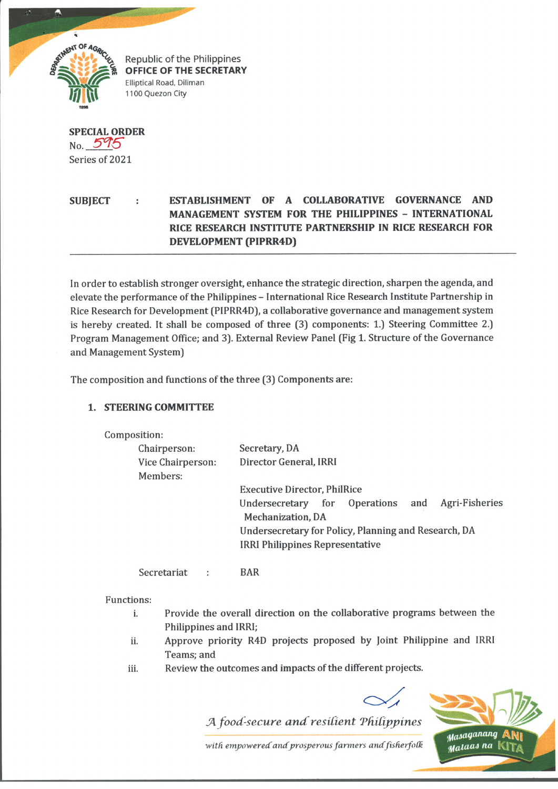

**OFFICE OF THE SECRETARY Elliptical Road, Diliman** 1100 Quezon City

**SPECIAL ORDER**  $N_{0}$  595 Series of 2021

## **SUBJECT : ESTABLISHMENT OF A COLLABORATIVE GOVERNANCE AND MANAGEMENT SYSTEM FOR THE PHILIPPINES - INTERNATIONAL RICE RESEARCH INSTITUTE PARTNERSHIP IN RICE RESEARCH FOR DEVELOPMENT (PIPRR4D)**

In order to establish stronger oversight, enhance the strategic direction, sharpen the agenda, and elevate the performance of the Philippines - International Rice Research Institute Partnership in Rice Research for Development (PIPRR4D), a collaborative governance and management system is hereby created. It shall be composed of three (3) components: 1.) Steering Committee 2.) Program Management Office; and 3). External Review Panel (Fig 1. Structure of the Governance and Management System)

The composition and functions of the three (3) Components are:

## **1. STEERING COMMITTEE**

Compositi

| sition:           |                                                      |  |
|-------------------|------------------------------------------------------|--|
| Chairperson:      | Secretary, DA                                        |  |
| Vice Chairperson: | Director General, IRRI                               |  |
| Members:          |                                                      |  |
|                   | <b>Executive Director, PhilRice</b>                  |  |
|                   | Agri-Fisheries<br>Undersecretary for Operations and  |  |
|                   | <b>Mechanization</b> , DA                            |  |
|                   | Undersecretary for Policy, Planning and Research, DA |  |
|                   | <b>IRRI Philippines Representative</b>               |  |
|                   |                                                      |  |

Secretariat : BAR

Functions:

- i. Provide the overall direction on the collaborative programs between the Philippines and IRRI;
- li. Approve priority R4D projects proposed by Joint Philippine and IRRI Teams; and
- iii. Review the outcomes and impacts of the different projects.

*A food-secure and resilient Philippines* Masaganang with empowered and prosperous farmers and fisherfolk Malaas na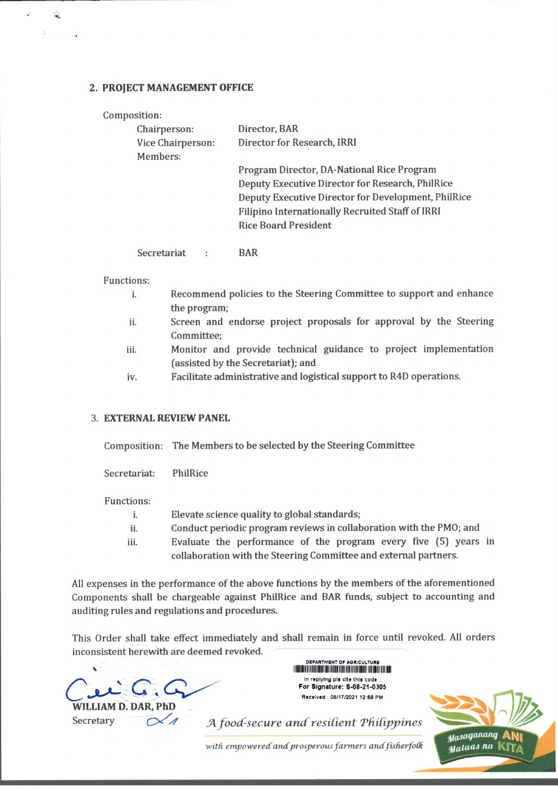## **2. PROJECT MANAGEMENT OFFICE**

| Composition:      |                                                     |
|-------------------|-----------------------------------------------------|
| Chairperson:      | Director, BAR                                       |
| Vice Chairperson: | Director for Research, IRRI                         |
| Members:          |                                                     |
|                   | Program Director, DA-National Rice Program          |
|                   | Deputy Executive Director for Research, PhilRice    |
|                   | Deputy Executive Director for Development, PhilRice |
|                   | Filipino Internationally Recruited Staff of IRRI    |
|                   | <b>Rice Board President</b>                         |
|                   |                                                     |

Secretariat : BAR

Functions:

્ર

- i. Recommend policies to the Steering Committee to support and enhance the program;
- ii. Screen and endorse project proposals for approval by the Steering Committee;
- iii. Monitor and provide technical guidance to project implementation (assisted by the Secretariat); and
- iv. Facilitate administrative and logistical support to R4D operations.

## 3. **EXTERNAL REVIEW PANEL**

Composition: The Members to be selected by the Steering Committee

Secretariat: PhilRice

Functions:

- i. Elevate science quality to global standards;
- ii. Conduct periodic program reviews in collaboration with the PMO; and
- iii. Evaluate the performance of the program every five (5) years in collaboration with the Steering Committee and external partners.

All expenses in the performance of the above functions by the members of the aforementioned Components shall be chargeable against PhilRice and BAR funds, subject to accounting and auditing rules and regulations and procedures.

This Order shall take effect immediately and shall remain in force until revoked. All orders inconsistent herewith are deemed revoked.

**WILLIAM D. DAR** 

DEPARTMENT OF AGRICULTURE v mi iiiii i iii ii i ii iNiiii ii In replying pis cite this code For Signature: S-08-21-0305 Received : 08/17/2021 12:59 PM

Secretary  $\alpha$  *A A food-secure and resilient Philippines*